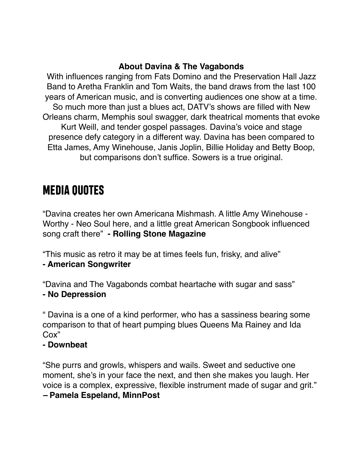## **About Davina & The Vagabonds**

With influences ranging from Fats Domino and the Preservation Hall Jazz Band to Aretha Franklin and Tom Waits, the band draws from the last 100 years of American music, and is converting audiences one show at a time. So much more than just a blues act, DATV's shows are filled with New Orleans charm, Memphis soul swagger, dark theatrical moments that evoke Kurt Weill, and tender gospel passages. Davina's voice and stage presence defy category in a different way. Davina has been compared to Etta James, Amy Winehouse, Janis Joplin, Billie Holiday and Betty Boop, but comparisons don't suffice. Sowers is a true original.

## MEDIA QUOTES

"Davina creates her own Americana Mishmash. A little Amy Winehouse - Worthy - Neo Soul here, and a little great American Songbook influenced song craft there" **- Rolling Stone Magazine**

"This music as retro it may be at times feels fun, frisky, and alive"

## **- American Songwriter**

"Davina and The Vagabonds combat heartache with sugar and sass" **- No Depression**

" Davina is a one of a kind performer, who has a sassiness bearing some comparison to that of heart pumping blues Queens Ma Rainey and Ida Cox"

## **- Downbeat**

"She purrs and growls, whispers and wails. Sweet and seductive one moment, she's in your face the next, and then she makes you laugh. Her voice is a complex, expressive, flexible instrument made of sugar and grit." *–* **Pamela Espeland, MinnPost**